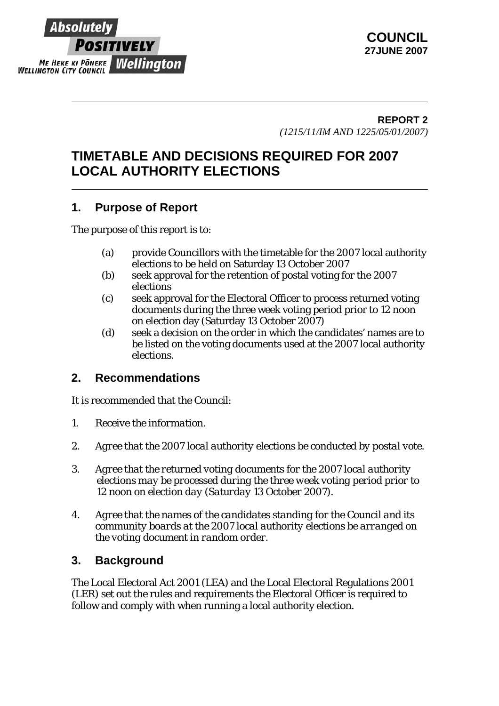

## **REPORT 2** *(1215/11/IM AND 1225/05/01/2007)*

# **TIMETABLE AND DECISIONS REQUIRED FOR 2007 LOCAL AUTHORITY ELECTIONS**

## **1. Purpose of Report**

The purpose of this report is to:

- (a) provide Councillors with the timetable for the 2007 local authority elections to be held on Saturday 13 October 2007
- (b) seek approval for the retention of postal voting for the 2007 elections
- (c) seek approval for the Electoral Officer to process returned voting documents during the three week voting period prior to 12 noon on election day (Saturday 13 October 2007)
- (d) seek a decision on the order in which the candidates' names are to be listed on the voting documents used at the 2007 local authority elections.

## **2. Recommendations**

It is recommended that the Council:

- *1. Receive the information.*
- *2. Agree that the 2007 local authority elections be conducted by postal vote.*
- *3. Agree that the returned voting documents for the 2007 local authority elections may be processed during the three week voting period prior to 12 noon on election day (Saturday 13 October 2007).*
- *4. Agree that the names of the candidates standing for the Council and its community boards at the 2007 local authority elections be arranged on the voting document in random order.*

## **3. Background**

The Local Electoral Act 2001 (LEA) and the Local Electoral Regulations 2001 (LER) set out the rules and requirements the Electoral Officer is required to follow and comply with when running a local authority election.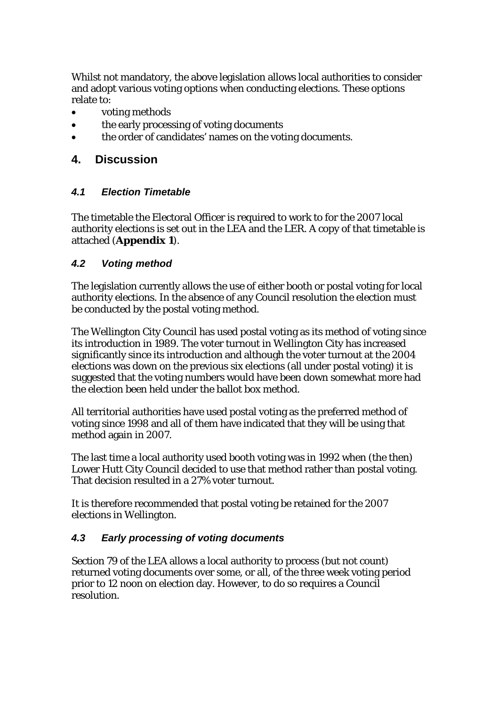Whilst not mandatory, the above legislation allows local authorities to consider and adopt various voting options when conducting elections. These options relate to:

- voting methods
- the early processing of voting documents
- the order of candidates' names on the voting documents.

## **4. Discussion**

#### *4.1 Election Timetable*

The timetable the Electoral Officer is required to work to for the 2007 local authority elections is set out in the LEA and the LER. A copy of that timetable is attached (**Appendix 1**).

#### *4.2 Voting method*

The legislation currently allows the use of either booth or postal voting for local authority elections. In the absence of any Council resolution the election must be conducted by the postal voting method.

The Wellington City Council has used postal voting as its method of voting since its introduction in 1989. The voter turnout in Wellington City has increased significantly since its introduction and although the voter turnout at the 2004 elections was down on the previous six elections (all under postal voting) it is suggested that the voting numbers would have been down somewhat more had the election been held under the ballot box method.

All territorial authorities have used postal voting as the preferred method of voting since 1998 and all of them have indicated that they will be using that method again in 2007.

The last time a local authority used booth voting was in 1992 when (the then) Lower Hutt City Council decided to use that method rather than postal voting. That decision resulted in a 27% voter turnout.

It is therefore recommended that postal voting be retained for the 2007 elections in Wellington.

## *4.3 Early processing of voting documents*

Section 79 of the LEA allows a local authority to process (but not count) returned voting documents over some, or all, of the three week voting period prior to 12 noon on election day. However, to do so requires a Council resolution.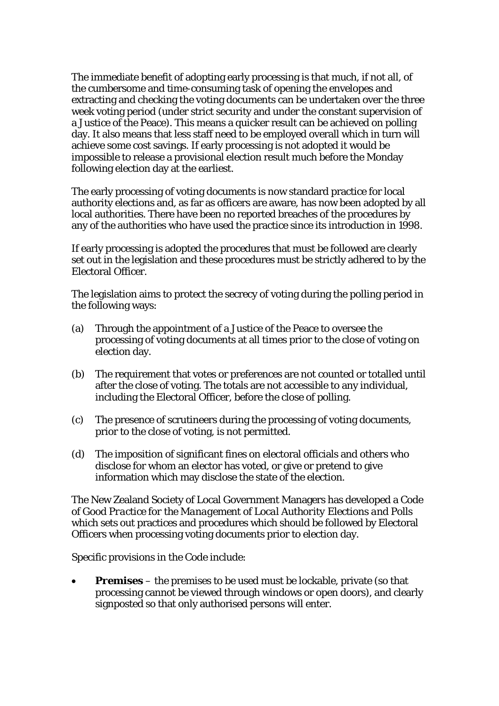The immediate benefit of adopting early processing is that much, if not all, of the cumbersome and time-consuming task of opening the envelopes and extracting and checking the voting documents can be undertaken over the three week voting period (under strict security and under the constant supervision of a Justice of the Peace). This means a quicker result can be achieved on polling day. It also means that less staff need to be employed overall which in turn will achieve some cost savings. If early processing is not adopted it would be impossible to release a provisional election result much before the Monday following election day at the earliest.

The early processing of voting documents is now standard practice for local authority elections and, as far as officers are aware, has now been adopted by all local authorities. There have been no reported breaches of the procedures by any of the authorities who have used the practice since its introduction in 1998.

If early processing is adopted the procedures that must be followed are clearly set out in the legislation and these procedures must be strictly adhered to by the Electoral Officer.

The legislation aims to protect the secrecy of voting during the polling period in the following ways:

- (a) Through the appointment of a Justice of the Peace to oversee the processing of voting documents at all times prior to the close of voting on election day.
- (b) The requirement that votes or preferences are not counted or totalled until after the close of voting. The totals are not accessible to any individual, including the Electoral Officer, before the close of polling.
- (c) The presence of scrutineers during the processing of voting documents, prior to the close of voting, is not permitted.
- (d) The imposition of significant fines on electoral officials and others who disclose for whom an elector has voted, or give or pretend to give information which may disclose the state of the election.

The New Zealand Society of Local Government Managers has developed a *Code of Good Practice for the Management of Local Authority Elections and Polls* which sets out practices and procedures which should be followed by Electoral Officers when processing voting documents prior to election day.

Specific provisions in the Code include:

• *Premises* – the premises to be used must be lockable, private (so that processing cannot be viewed through windows or open doors), and clearly signposted so that only authorised persons will enter.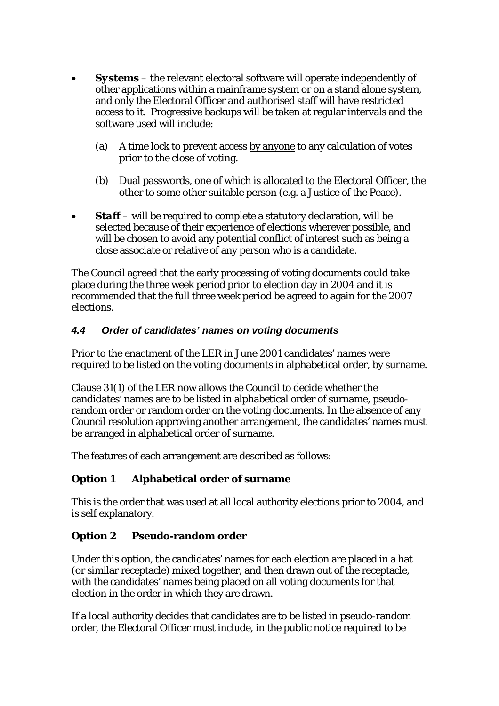- *Systems* the relevant electoral software will operate independently of other applications within a mainframe system or on a stand alone system, and only the Electoral Officer and authorised staff will have restricted access to it. Progressive backups will be taken at regular intervals and the software used will include:
	- (a) A time lock to prevent access by anyone to any calculation of votes prior to the close of voting.
	- (b) Dual passwords, one of which is allocated to the Electoral Officer, the other to some other suitable person (e.g. a Justice of the Peace).
- *Staff* will be required to complete a statutory declaration, will be selected because of their experience of elections wherever possible, and will be chosen to avoid any potential conflict of interest such as being a close associate or relative of any person who is a candidate.

The Council agreed that the early processing of voting documents could take place during the three week period prior to election day in 2004 and it is recommended that the full three week period be agreed to again for the 2007 elections.

#### *4.4 Order of candidates' names on voting documents*

Prior to the enactment of the LER in June 2001 candidates' names were required to be listed on the voting documents in alphabetical order, by surname.

Clause 31(1) of the LER now allows the Council to decide whether the candidates' names are to be listed in alphabetical order of surname, pseudorandom order or random order on the voting documents. In the absence of any Council resolution approving another arrangement, the candidates' names must be arranged in alphabetical order of surname.

The features of each arrangement are described as follows:

#### **Option 1 Alphabetical order of surname**

This is the order that was used at all local authority elections prior to 2004, and is self explanatory.

#### **Option 2 Pseudo-random order**

Under this option, the candidates' names for each election are placed in a hat (or similar receptacle) mixed together, and then drawn out of the receptacle, with the candidates' names being placed on all voting documents for that election in the order in which they are drawn.

If a local authority decides that candidates are to be listed in pseudo-random order, the Electoral Officer must include, in the public notice required to be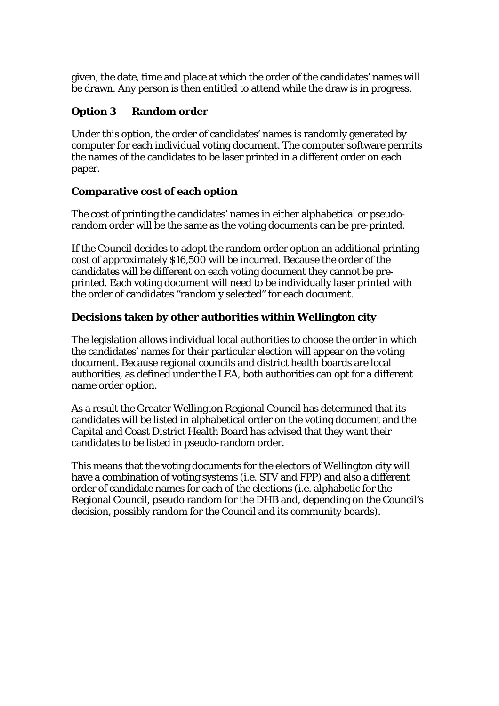given, the date, time and place at which the order of the candidates' names will be drawn. Any person is then entitled to attend while the draw is in progress.

#### **Option 3 Random order**

Under this option, the order of candidates' names is randomly generated by computer for each individual voting document. The computer software permits the names of the candidates to be laser printed in a different order on each paper.

#### **Comparative cost of each option**

The cost of printing the candidates' names in either alphabetical or pseudorandom order will be the same as the voting documents can be pre-printed.

If the Council decides to adopt the random order option an additional printing cost of approximately \$16,500 will be incurred. Because the order of the candidates will be different on each voting document they cannot be preprinted. Each voting document will need to be individually laser printed with the order of candidates "randomly selected" for each document.

## **Decisions taken by other authorities within Wellington city**

The legislation allows individual local authorities to choose the order in which the candidates' names for their particular election will appear on the voting document. Because regional councils and district health boards are local authorities, as defined under the LEA, both authorities can opt for a different name order option.

As a result the Greater Wellington Regional Council has determined that its candidates will be listed in alphabetical order on the voting document and the Capital and Coast District Health Board has advised that they want their candidates to be listed in pseudo-random order.

This means that the voting documents for the electors of Wellington city will have a combination of voting systems (i.e. STV and FPP) and also a different order of candidate names for each of the elections (i.e. alphabetic for the Regional Council, pseudo random for the DHB and, depending on the Council's decision, possibly random for the Council and its community boards).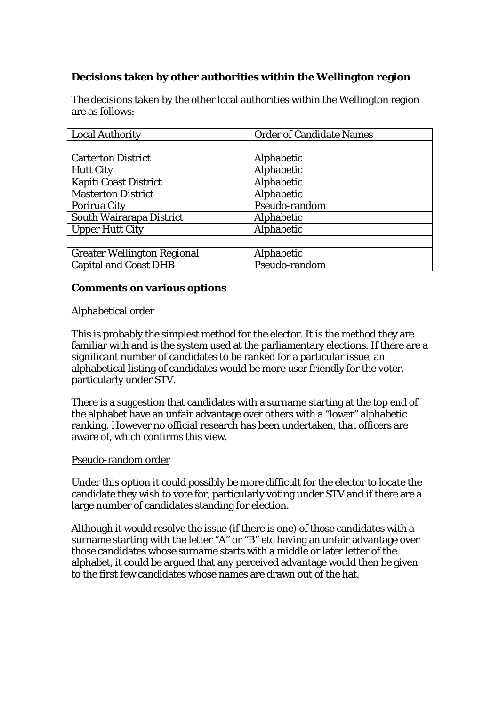## **Decisions taken by other authorities within the Wellington region**

The decisions taken by the other local authorities within the Wellington region are as follows:

| <b>Local Authority</b>             | <b>Order of Candidate Names</b> |
|------------------------------------|---------------------------------|
|                                    |                                 |
| <b>Carterton District</b>          | Alphabetic                      |
| <b>Hutt City</b>                   | Alphabetic                      |
| <b>Kapiti Coast District</b>       | Alphabetic                      |
| <b>Masterton District</b>          | Alphabetic                      |
| <b>Porirua City</b>                | Pseudo-random                   |
| South Wairarapa District           | Alphabetic                      |
| <b>Upper Hutt City</b>             | Alphabetic                      |
|                                    |                                 |
| <b>Greater Wellington Regional</b> | Alphabetic                      |
| <b>Capital and Coast DHB</b>       | Pseudo-random                   |

#### **Comments on various options**

#### Alphabetical order

This is probably the simplest method for the elector. It is the method they are familiar with and is the system used at the parliamentary elections. If there are a significant number of candidates to be ranked for a particular issue, an alphabetical listing of candidates would be more user friendly for the voter, particularly under STV.

There is a suggestion that candidates with a surname starting at the top end of the alphabet have an unfair advantage over others with a "lower" alphabetic ranking. However no official research has been undertaken, that officers are aware of, which confirms this view.

#### Pseudo-random order

Under this option it could possibly be more difficult for the elector to locate the candidate they wish to vote for, particularly voting under STV and if there are a large number of candidates standing for election.

Although it would resolve the issue (if there is one) of those candidates with a surname starting with the letter "A" or "B" etc having an unfair advantage over those candidates whose surname starts with a middle or later letter of the alphabet, it could be argued that any perceived advantage would then be given to the first few candidates whose names are drawn out of the hat.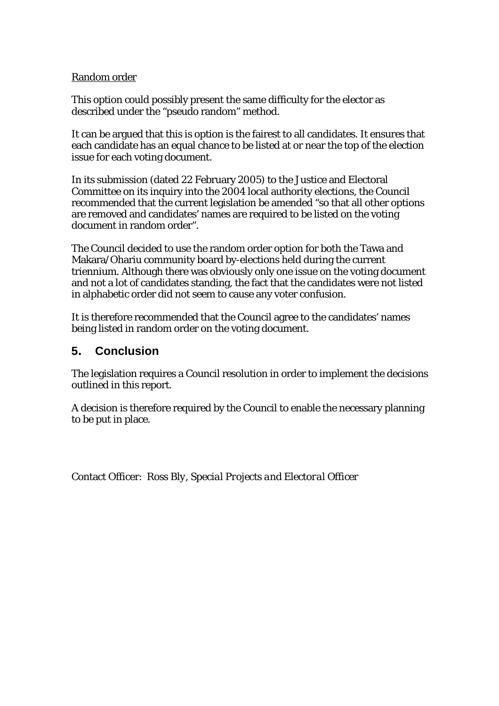#### Random order

This option could possibly present the same difficulty for the elector as described under the "pseudo random" method.

It can be argued that this is option is the fairest to all candidates. It ensures that each candidate has an equal chance to be listed at or near the top of the election issue for each voting document.

In its submission (dated 22 February 2005) to the Justice and Electoral Committee on its inquiry into the 2004 local authority elections, the Council recommended that the current legislation be amended "so that all other options are removed and candidates' names are required to be listed on the voting document in random order".

The Council decided to use the random order option for both the Tawa and Makara/Ohariu community board by-elections held during the current triennium. Although there was obviously only one issue on the voting document and not a lot of candidates standing, the fact that the candidates were not listed in alphabetic order did not seem to cause any voter confusion.

It is therefore recommended that the Council agree to the candidates' names being listed in random order on the voting document.

## **5. Conclusion**

The legislation requires a Council resolution in order to implement the decisions outlined in this report.

A decision is therefore required by the Council to enable the necessary planning to be put in place.

Contact Officer: *Ross Bly, Special Projects and Electoral Officer*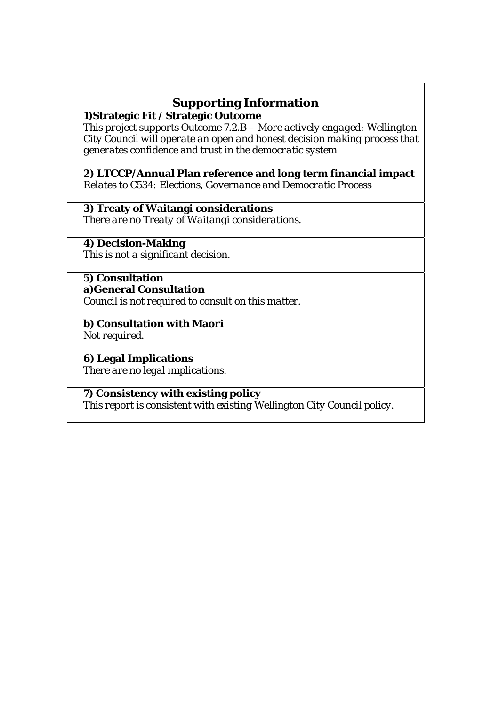# **Supporting Information**

**1)Strategic Fit / Strategic Outcome** 

*This project supports Outcome 7.2.B – More actively engaged: Wellington City Council will operate an open and honest decision making process that generates confidence and trust in the democratic system* 

**2) LTCCP/Annual Plan reference and long term financial impact**  *Relates to C534: Elections, Governance and Democratic Process* 

**3) Treaty of Waitangi considerations**  *There are no Treaty of Waitangi considerations.* 

**4) Decision-Making**  *This is not a significant decision.*

#### **5) Consultation a)General Consultation**

*Council is not required to consult on this matter.* 

**b) Consultation with Maori**  *Not required.*

**6) Legal Implications**  *There are no legal implications.* 

**7) Consistency with existing policy**  *This report is consistent with existing Wellington City Council policy.*